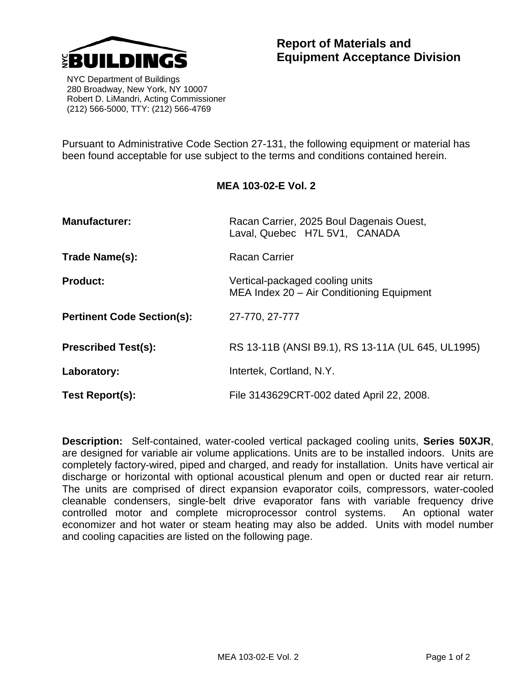

 NYC Department of Buildings 280 Broadway, New York, NY 10007 Robert D. LiMandri, Acting Commissioner (212) 566-5000, TTY: (212) 566-4769

Pursuant to Administrative Code Section 27-131, the following equipment or material has been found acceptable for use subject to the terms and conditions contained herein.

## **MEA 103-02-E Vol. 2**

| <b>Manufacturer:</b>              | Racan Carrier, 2025 Boul Dagenais Ouest,<br>Laval, Quebec H7L 5V1, CANADA    |
|-----------------------------------|------------------------------------------------------------------------------|
| Trade Name(s):                    | <b>Racan Carrier</b>                                                         |
| <b>Product:</b>                   | Vertical-packaged cooling units<br>MEA Index 20 - Air Conditioning Equipment |
| <b>Pertinent Code Section(s):</b> | 27-770, 27-777                                                               |
| <b>Prescribed Test(s):</b>        | RS 13-11B (ANSI B9.1), RS 13-11A (UL 645, UL1995)                            |
| Laboratory:                       | Intertek, Cortland, N.Y.                                                     |
| Test Report(s):                   | File 3143629CRT-002 dated April 22, 2008.                                    |

**Description:** Self-contained, water-cooled vertical packaged cooling units, **Series 50XJR**, are designed for variable air volume applications. Units are to be installed indoors. Units are completely factory-wired, piped and charged, and ready for installation. Units have vertical air discharge or horizontal with optional acoustical plenum and open or ducted rear air return. The units are comprised of direct expansion evaporator coils, compressors, water-cooled cleanable condensers, single-belt drive evaporator fans with variable frequency drive controlled motor and complete microprocessor control systems. An optional water economizer and hot water or steam heating may also be added. Units with model number and cooling capacities are listed on the following page.